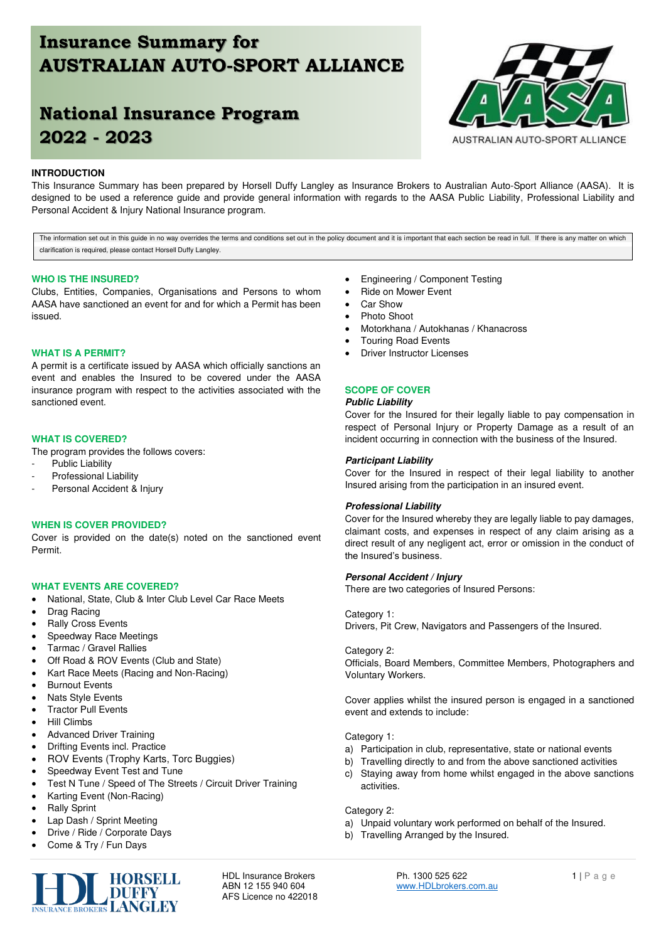# **Insurance Summary for AUSTRALIAN AUTO-SPORT ALLIANCE**

# **National Insurance Program 2022 - 2023**

## **INTRODUCTION**

This Insurance Summary has been prepared by Horsell Duffy Langley as Insurance Brokers to Australian Auto-Sport Alliance (AASA). It is designed to be used a reference guide and provide general information with regards to the AASA Public Liability, Professional Liability and Personal Accident & Injury National Insurance program.

The information set out in this guide in no way overrides the terms and conditions set out in the policy document and it is important that each section be read in full. If there is any matter on which clarification is required, please contact Horsell Duffy Langley.

## **WHO IS THE INSURED?**

Clubs, Entities, Companies, Organisations and Persons to whom AASA have sanctioned an event for and for which a Permit has been issued.

#### **WHAT IS A PERMIT?**

A permit is a certificate issued by AASA which officially sanctions an event and enables the Insured to be covered under the AASA insurance program with respect to the activities associated with the sanctioned event.

## **WHAT IS COVERED?**

The program provides the follows covers:

- Public Liability
- Professional Liability
- Personal Accident & Injury

## **WHEN IS COVER PROVIDED?**

Cover is provided on the date(s) noted on the sanctioned event Permit.

#### **WHAT EVENTS ARE COVERED?**

- National, State, Club & Inter Club Level Car Race Meets
- Drag Racing
- Rally Cross Events
- Speedway Race Meetings
- Tarmac / Gravel Rallies
- Off Road & ROV Events (Club and State)
- Kart Race Meets (Racing and Non-Racing)
- Burnout Events
- Nats Style Events
- Tractor Pull Events
- Hill Climbs
- Advanced Driver Training
- Drifting Events incl. Practice
- ROV Events (Trophy Karts, Torc Buggies)
- Speedway Event Test and Tune
- Test N Tune / Speed of The Streets / Circuit Driver Training
- Karting Event (Non-Racing)
- Rally Sprint
- Lap Dash / Sprint Meeting
- Drive / Ride / Corporate Days
- Come & Try / Fun Days



AFS Licence no 422018

- Engineering / Component Testing
- Ride on Mower Event
- Car Show
- Photo Shoot
- Motorkhana / Autokhanas / Khanacross
- Touring Road Events
- **Driver Instructor Licenses**

## **SCOPE OF COVER**

### **Public Liability**

Cover for the Insured for their legally liable to pay compensation in respect of Personal Injury or Property Damage as a result of an incident occurring in connection with the business of the Insured.

#### **Participant Liability**

Cover for the Insured in respect of their legal liability to another Insured arising from the participation in an insured event.

## **Professional Liability**

Cover for the Insured whereby they are legally liable to pay damages, claimant costs, and expenses in respect of any claim arising as a direct result of any negligent act, error or omission in the conduct of the Insured's business.

### **Personal Accident / Injury**

There are two categories of Insured Persons:

#### Category 1:

Drivers, Pit Crew, Navigators and Passengers of the Insured.

### Category 2:

Officials, Board Members, Committee Members, Photographers and Voluntary Workers.

Cover applies whilst the insured person is engaged in a sanctioned event and extends to include:

Category 1:

- a) Participation in club, representative, state or national events
- b) Travelling directly to and from the above sanctioned activities
- c) Staying away from home whilst engaged in the above sanctions activities.

### Category 2:

- a) Unpaid voluntary work performed on behalf of the Insured.
- b) Travelling Arranged by the Insured.

HDL Insurance Brokers **Ph. 1300 525 622 Ph. 1300 525 622 1** | P a g e **ABN 12 155 940 604** www.HDLbrokers.com.au

AUSTRALIAN AUTO-SPORT ALLIANCE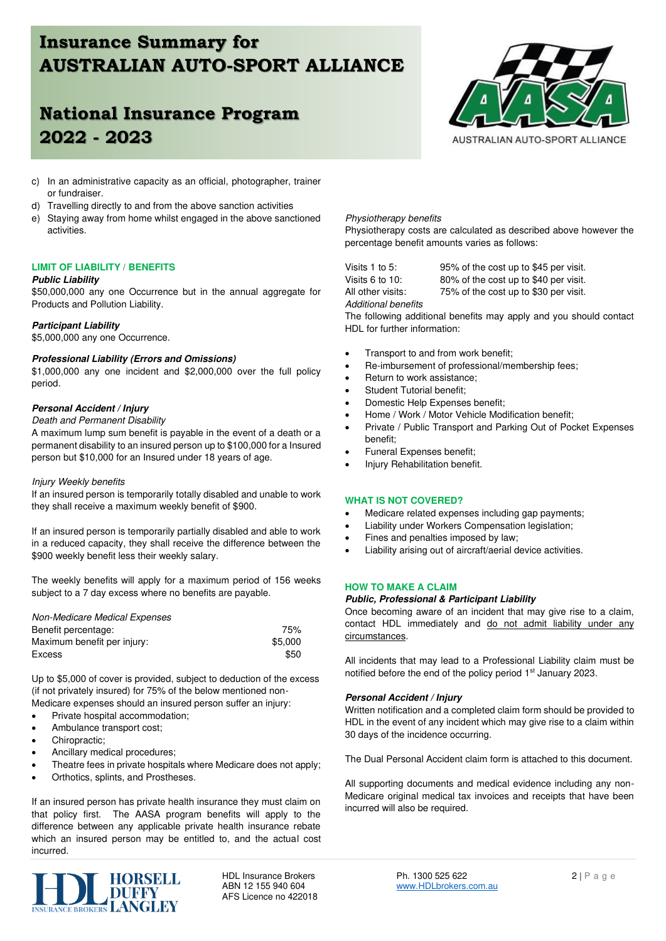# **Insurance Summary for AUSTRALIAN AUTO-SPORT ALLIANCE**

# **National Insurance Program 2022 - 2023**



- c) In an administrative capacity as an official, photographer, trainer or fundraiser.
- d) Travelling directly to and from the above sanction activities
- e) Staying away from home whilst engaged in the above sanctioned activities.

## **LIMIT OF LIABILITY / BENEFITS**

### **Public Liability**

\$50,000,000 any one Occurrence but in the annual aggregate for Products and Pollution Liability.

## **Participant Liability**

\$5,000,000 any one Occurrence.

## **Professional Liability (Errors and Omissions)**

\$1,000,000 any one incident and \$2,000,000 over the full policy period.

## **Personal Accident / Injury**

## Death and Permanent Disability

A maximum lump sum benefit is payable in the event of a death or a permanent disability to an insured person up to \$100,000 for a Insured person but \$10,000 for an Insured under 18 years of age.

## Injury Weekly benefits

If an insured person is temporarily totally disabled and unable to work they shall receive a maximum weekly benefit of \$900.

If an insured person is temporarily partially disabled and able to work in a reduced capacity, they shall receive the difference between the \$900 weekly benefit less their weekly salary.

The weekly benefits will apply for a maximum period of 156 weeks subject to a 7 day excess where no benefits are payable.

| Non-Medicare Medical Expenses |         |
|-------------------------------|---------|
| Benefit percentage:           | 75%     |
| Maximum benefit per injury:   | \$5,000 |
| <b>Excess</b>                 | \$50    |

Up to \$5,000 of cover is provided, subject to deduction of the excess (if not privately insured) for 75% of the below mentioned non-Medicare expenses should an insured person suffer an injury:

- Private hospital accommodation;
- Ambulance transport cost;
- Chiropractic;
- Ancillary medical procedures;
- Theatre fees in private hospitals where Medicare does not apply;
- Orthotics, splints, and Prostheses.

If an insured person has private health insurance they must claim on that policy first. The AASA program benefits will apply to the difference between any applicable private health insurance rebate which an insured person may be entitled to, and the actual cost incurred.



AFS Licence no 422018

## Physiotherapy benefits

Physiotherapy costs are calculated as described above however the percentage benefit amounts varies as follows:

Additional benefits

Visits 1 to 5: 95% of the cost up to \$45 per visit. Visits 6 to 10: 80% of the cost up to \$40 per visit. All other visits: 75% of the cost up to \$30 per visit.

The following additional benefits may apply and you should contact HDL for further information:

- Transport to and from work benefit;
- Re-imbursement of professional/membership fees;
- Return to work assistance;
- Student Tutorial benefit:
- Domestic Help Expenses benefit;
- Home / Work / Motor Vehicle Modification benefit;
- Private / Public Transport and Parking Out of Pocket Expenses benefit;
- Funeral Expenses benefit;
- Injury Rehabilitation benefit.

## **WHAT IS NOT COVERED?**

- Medicare related expenses including gap payments;
- Liability under Workers Compensation legislation;
- Fines and penalties imposed by law;
- Liability arising out of aircraft/aerial device activities.

## **HOW TO MAKE A CLAIM**

#### **Public, Professional & Participant Liability**

Once becoming aware of an incident that may give rise to a claim, contact HDL immediately and do not admit liability under any circumstances.

All incidents that may lead to a Professional Liability claim must be notified before the end of the policy period 1<sup>st</sup> January 2023.

## **Personal Accident / Injury**

Written notification and a completed claim form should be provided to HDL in the event of any incident which may give rise to a claim within 30 days of the incidence occurring.

The Dual Personal Accident claim form is attached to this document.

All supporting documents and medical evidence including any non-Medicare original medical tax invoices and receipts that have been incurred will also be required.